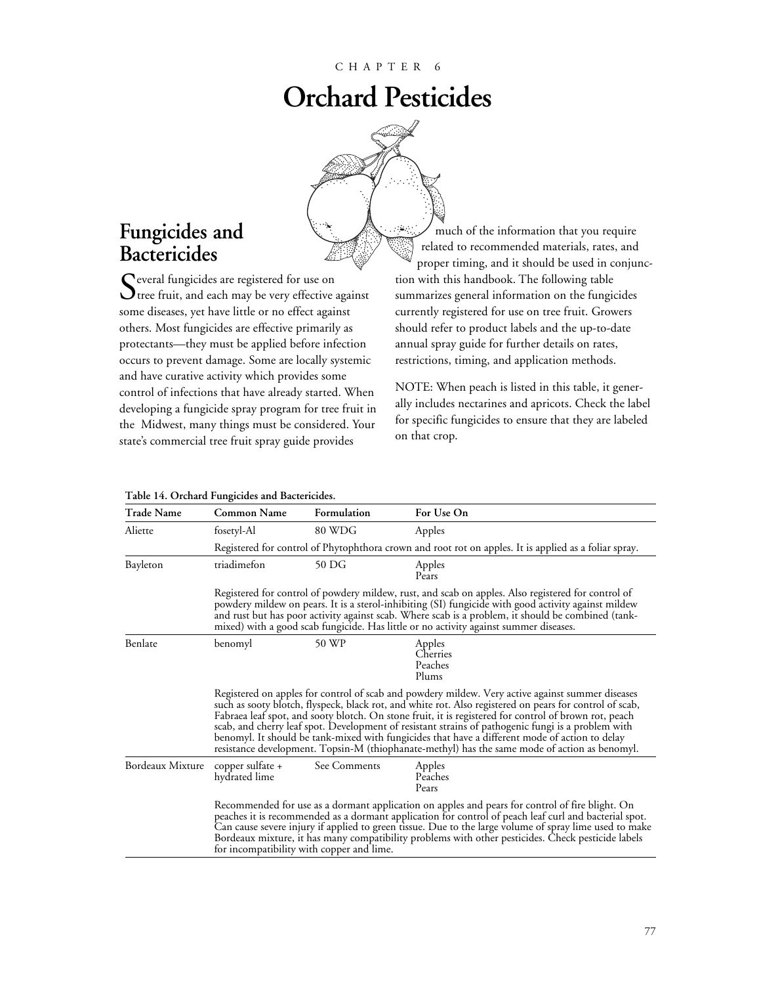# **Orchard Pesticides**



# **Fungicides and Bactericides**

Several fungicides are registered for use on<br>Stree fruit, and each may be very effective against some diseases, yet have little or no effect against others. Most fungicides are effective primarily as protectants—they must be applied before infection occurs to prevent damage. Some are locally systemic and have curative activity which provides some control of infections that have already started. When developing a fungicide spray program for tree fruit in the Midwest, many things must be considered. Your state's commercial tree fruit spray guide provides

much of the information that you require related to recommended materials, rates, and proper timing, and it should be used in conjunction with this handbook. The following table summarizes general information on the fungicides currently registered for use on tree fruit. Growers should refer to product labels and the up-to-date annual spray guide for further details on rates, restrictions, timing, and application methods.

NOTE: When peach is listed in this table, it generally includes nectarines and apricots. Check the label for specific fungicides to ensure that they are labeled on that crop.

| <b>Trade Name</b> | <b>Common Name</b>                                                                                                                                                                                                                                                                                                                                                                                                                                                                                                                                                                                                            | Formulation                                                                                           | For Use On                             |  |  |  |  |  |  |  |  |
|-------------------|-------------------------------------------------------------------------------------------------------------------------------------------------------------------------------------------------------------------------------------------------------------------------------------------------------------------------------------------------------------------------------------------------------------------------------------------------------------------------------------------------------------------------------------------------------------------------------------------------------------------------------|-------------------------------------------------------------------------------------------------------|----------------------------------------|--|--|--|--|--|--|--|--|
| Aliette           | fosetyl-Al                                                                                                                                                                                                                                                                                                                                                                                                                                                                                                                                                                                                                    | 80 WDG                                                                                                | Apples                                 |  |  |  |  |  |  |  |  |
|                   |                                                                                                                                                                                                                                                                                                                                                                                                                                                                                                                                                                                                                               | Registered for control of Phytophthora crown and root rot on apples. It is applied as a foliar spray. |                                        |  |  |  |  |  |  |  |  |
| Bayleton          | triadimefon                                                                                                                                                                                                                                                                                                                                                                                                                                                                                                                                                                                                                   | 50 DG                                                                                                 | Apples<br>Pears                        |  |  |  |  |  |  |  |  |
|                   | Registered for control of powdery mildew, rust, and scab on apples. Also registered for control of<br>powdery mildew on pears. It is a sterol-inhibiting (SI) fungicide with good activity against mildew<br>and rust but has poor activity against scab. Where scab is a problem, it should be combined (tank-<br>mixed) with a good scab fungicide. Has little or no activity against summer diseases.                                                                                                                                                                                                                      |                                                                                                       |                                        |  |  |  |  |  |  |  |  |
| Benlate           | benomyl                                                                                                                                                                                                                                                                                                                                                                                                                                                                                                                                                                                                                       | 50 WP                                                                                                 | Apples<br>Cherries<br>Peaches<br>Plums |  |  |  |  |  |  |  |  |
|                   | Registered on apples for control of scab and powdery mildew. Very active against summer diseases<br>such as sooty blotch, flyspeck, black rot, and white rot. Also registered on pears for control of scab,<br>Fabraea leaf spot, and sooty blotch. On stone fruit, it is registered for control of brown rot, peach<br>scab, and cherry leaf spot. Development of resistant strains of pathogenic fungi is a problem with<br>benomyl. It should be tank-mixed with fungicides that have a different mode of action to delay<br>resistance development. Topsin-M (thiophanate-methyl) has the same mode of action as benomyl. |                                                                                                       |                                        |  |  |  |  |  |  |  |  |
| Bordeaux Mixture  | copper sulfate $+$<br>hydrated lime                                                                                                                                                                                                                                                                                                                                                                                                                                                                                                                                                                                           | See Comments                                                                                          | Apples<br>Peaches<br>Pears             |  |  |  |  |  |  |  |  |
|                   | Recommended for use as a dormant application on apples and pears for control of fire blight. On<br>peaches it is recommended as a dormant application for control of peach leaf curl and bacterial spot.<br>Can cause severe injury if applied to green tissue. Due to the large volume of spray lime used to make<br>Bordeaux mixture, it has many compatibility problems with other pesticides. Check pesticide labels<br>for incompatibility with copper and lime.                                                                                                                                                         |                                                                                                       |                                        |  |  |  |  |  |  |  |  |

#### **Table 14. Orchard Fungicides and Bactericides.**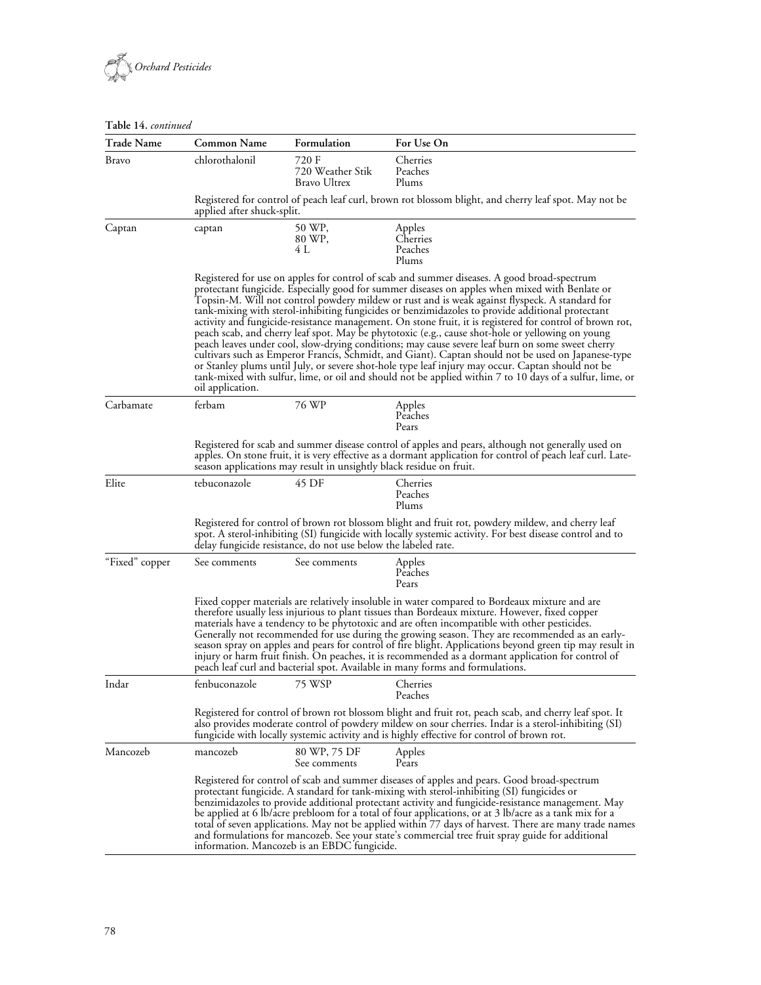

### **Table 14.** *continued*

| <b>Trade Name</b> | <b>Common Name</b>                                          | Formulation                                                                                                                                                                                                                                                                                                                                                                                                                                                                                                                                                                                                                                                                                                                                                                                                                                                                                                                                                                                                                                    | For Use On                                                                                                                                                                                                                                                                                                   |  |  |  |  |  |  |  |  |
|-------------------|-------------------------------------------------------------|------------------------------------------------------------------------------------------------------------------------------------------------------------------------------------------------------------------------------------------------------------------------------------------------------------------------------------------------------------------------------------------------------------------------------------------------------------------------------------------------------------------------------------------------------------------------------------------------------------------------------------------------------------------------------------------------------------------------------------------------------------------------------------------------------------------------------------------------------------------------------------------------------------------------------------------------------------------------------------------------------------------------------------------------|--------------------------------------------------------------------------------------------------------------------------------------------------------------------------------------------------------------------------------------------------------------------------------------------------------------|--|--|--|--|--|--|--|--|
| <b>Bravo</b>      | chlorothalonil<br>720 F<br>720 Weather Stik<br>Bravo Ultrex |                                                                                                                                                                                                                                                                                                                                                                                                                                                                                                                                                                                                                                                                                                                                                                                                                                                                                                                                                                                                                                                | Cherries<br>Peaches<br>Plums                                                                                                                                                                                                                                                                                 |  |  |  |  |  |  |  |  |
|                   | applied after shuck-split.                                  |                                                                                                                                                                                                                                                                                                                                                                                                                                                                                                                                                                                                                                                                                                                                                                                                                                                                                                                                                                                                                                                | Registered for control of peach leaf curl, brown rot blossom blight, and cherry leaf spot. May not be                                                                                                                                                                                                        |  |  |  |  |  |  |  |  |
| Captan            | captan                                                      | 50 WP,<br>80 WP,<br>4 L                                                                                                                                                                                                                                                                                                                                                                                                                                                                                                                                                                                                                                                                                                                                                                                                                                                                                                                                                                                                                        | Apples<br>Cherries<br>Peaches<br>Plums                                                                                                                                                                                                                                                                       |  |  |  |  |  |  |  |  |
|                   | oil application.                                            | Registered for use on apples for control of scab and summer diseases. A good broad-spectrum<br>protectant fungicide. Especially good for summer diseases on apples when mixed with Benlate or<br>Topsin-M. Will not control powdery mildew or rust and is weak against flyspeck. A standard for<br>tank-mixing with sterol-inhibiting fungicides or benzimidazoles to provide additional protectant<br>activity and fungicide-resistance management. On stone fruit, it is registered for control of brown rot,<br>peach scab, and cherry leaf spot. May be phytotoxic (e.g., cause shot-hole or yellowing on young<br>peach leaves under cool, slow-drying conditions; may cause severe leaf burn on some sweet cherry<br>cultivars such as Emperor Francis, Schmidt, and Giant). Captan should not be used on Japanese-type<br>or Stanley plums until July, or severe shot-hole type leaf injury may occur. Captan should not be<br>tank-mixed with sulfur, lime, or oil and should not be applied within 7 to 10 days of a sulfur, lime, or |                                                                                                                                                                                                                                                                                                              |  |  |  |  |  |  |  |  |
| Carbamate         | ferbam                                                      | 76 WP                                                                                                                                                                                                                                                                                                                                                                                                                                                                                                                                                                                                                                                                                                                                                                                                                                                                                                                                                                                                                                          | Apples<br>Peaches<br>Pears                                                                                                                                                                                                                                                                                   |  |  |  |  |  |  |  |  |
|                   |                                                             | Registered for scab and summer disease control of apples and pears, although not generally used on<br>apples. On stone fruit, it is very effective as a dormant application for control of peach leaf curl. Late-<br>season applications may result in unsightly black residue on fruit.                                                                                                                                                                                                                                                                                                                                                                                                                                                                                                                                                                                                                                                                                                                                                       |                                                                                                                                                                                                                                                                                                              |  |  |  |  |  |  |  |  |
| Elite             | tebuconazole                                                | 45 DF                                                                                                                                                                                                                                                                                                                                                                                                                                                                                                                                                                                                                                                                                                                                                                                                                                                                                                                                                                                                                                          | Cherries<br>Peaches<br>Plums                                                                                                                                                                                                                                                                                 |  |  |  |  |  |  |  |  |
|                   |                                                             | Registered for control of brown rot blossom blight and fruit rot, powdery mildew, and cherry leaf<br>spot. A sterol-inhibiting (SI) fungicide with locally systemic activity. For best disease control and to<br>delay fungicide resistance, do not use below the labeled rate.                                                                                                                                                                                                                                                                                                                                                                                                                                                                                                                                                                                                                                                                                                                                                                |                                                                                                                                                                                                                                                                                                              |  |  |  |  |  |  |  |  |
| "Fixed" copper    | See comments                                                | See comments                                                                                                                                                                                                                                                                                                                                                                                                                                                                                                                                                                                                                                                                                                                                                                                                                                                                                                                                                                                                                                   | Apples<br>Peaches<br>Pears                                                                                                                                                                                                                                                                                   |  |  |  |  |  |  |  |  |
|                   |                                                             | Fixed copper materials are relatively insoluble in water compared to Bordeaux mixture and are<br>therefore usually less injurious to plant tissues than Bordeaux mixture. However, fixed copper<br>materials have a tendency to be phytotoxic and are often incompatible with other pesticides.<br>Generally not recommended for use during the growing season. They are recommended as an early-<br>season spray on apples and pears for control of fire blight. Applications beyond green tip may result in<br>injury or harm fruit finish. On peaches, it is recommended as a dormant application for control of<br>peach leaf curl and bacterial spot. Available in many forms and formulations.                                                                                                                                                                                                                                                                                                                                           |                                                                                                                                                                                                                                                                                                              |  |  |  |  |  |  |  |  |
| Indar             | fenbuconazole                                               | 75 WSP                                                                                                                                                                                                                                                                                                                                                                                                                                                                                                                                                                                                                                                                                                                                                                                                                                                                                                                                                                                                                                         | Cherries<br>Peaches                                                                                                                                                                                                                                                                                          |  |  |  |  |  |  |  |  |
|                   |                                                             |                                                                                                                                                                                                                                                                                                                                                                                                                                                                                                                                                                                                                                                                                                                                                                                                                                                                                                                                                                                                                                                | Registered for control of brown rot blossom blight and fruit rot, peach scab, and cherry leaf spot. It<br>also provides moderate control of powdery mildew on sour cherries. Indar is a sterol-inhibiting (SI)<br>fungicide with locally systemic activity and is highly effective for control of brown rot. |  |  |  |  |  |  |  |  |
| Mancozeb          | mancozeb                                                    | 80 WP, 75 DF<br>See comments                                                                                                                                                                                                                                                                                                                                                                                                                                                                                                                                                                                                                                                                                                                                                                                                                                                                                                                                                                                                                   | Apples<br>Pears                                                                                                                                                                                                                                                                                              |  |  |  |  |  |  |  |  |
|                   |                                                             | Registered for control of scab and summer diseases of apples and pears. Good broad-spectrum<br>protectant fungicide. A standard for tank-mixing with sterol-inhibiting (SI) fungicides or<br>benzimidazoles to provide additional protectant activity and fungicide-resistance management. May<br>be applied at 6 lb/acre prebloom for a total of four applications, or at 3 lb/acre as a tank mix for a<br>total of seven applications. May not be applied within 77 days of harvest. There are many trade names<br>and formulations for mancozeb. See your state's commercial tree fruit spray guide for additional<br>information. Mancozeb is an EBDC fungicide.                                                                                                                                                                                                                                                                                                                                                                           |                                                                                                                                                                                                                                                                                                              |  |  |  |  |  |  |  |  |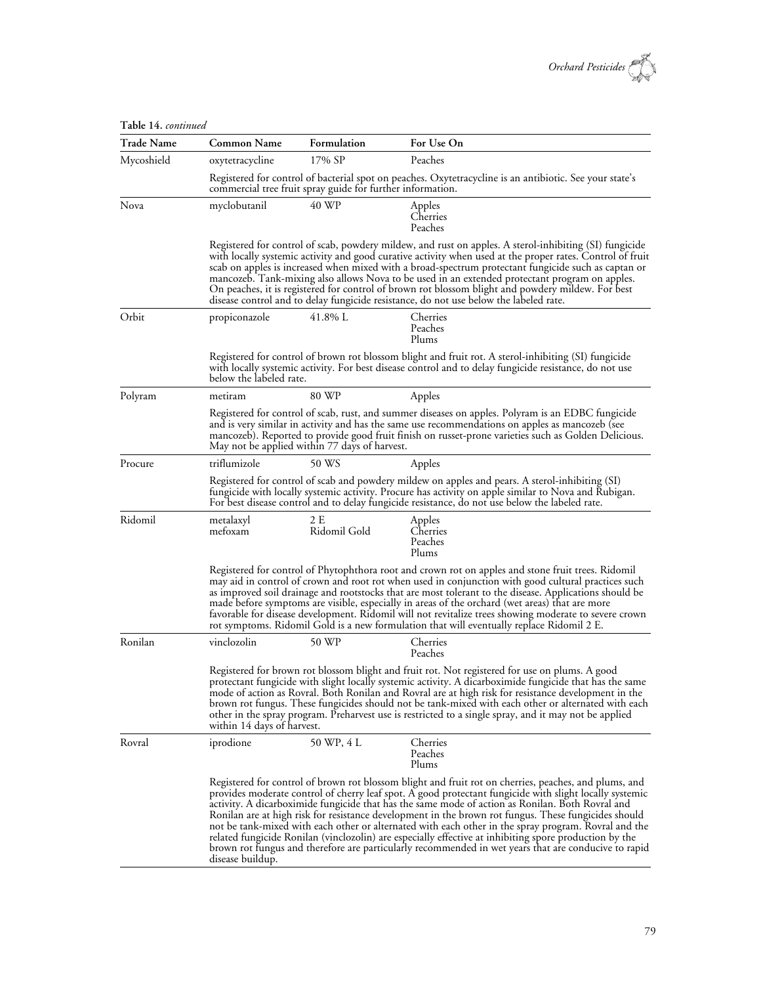

| Table 14. continued |                                                                                                                                                                                                                                                                                                                                                               |                                                                                                                                                                                                                                                                                                                                                                                                                                                                                                                                                                                                                             |                                                                                                                                                                                                                                                                                                                                                                                                                                                                                                                                                                                                                                                                                                                                                        |  |  |  |  |  |  |  |  |
|---------------------|---------------------------------------------------------------------------------------------------------------------------------------------------------------------------------------------------------------------------------------------------------------------------------------------------------------------------------------------------------------|-----------------------------------------------------------------------------------------------------------------------------------------------------------------------------------------------------------------------------------------------------------------------------------------------------------------------------------------------------------------------------------------------------------------------------------------------------------------------------------------------------------------------------------------------------------------------------------------------------------------------------|--------------------------------------------------------------------------------------------------------------------------------------------------------------------------------------------------------------------------------------------------------------------------------------------------------------------------------------------------------------------------------------------------------------------------------------------------------------------------------------------------------------------------------------------------------------------------------------------------------------------------------------------------------------------------------------------------------------------------------------------------------|--|--|--|--|--|--|--|--|
| <b>Trade Name</b>   | <b>Common Name</b>                                                                                                                                                                                                                                                                                                                                            | Formulation                                                                                                                                                                                                                                                                                                                                                                                                                                                                                                                                                                                                                 | For Use On                                                                                                                                                                                                                                                                                                                                                                                                                                                                                                                                                                                                                                                                                                                                             |  |  |  |  |  |  |  |  |
| Mycoshield          | oxytetracycline                                                                                                                                                                                                                                                                                                                                               | 17% SP                                                                                                                                                                                                                                                                                                                                                                                                                                                                                                                                                                                                                      | Peaches                                                                                                                                                                                                                                                                                                                                                                                                                                                                                                                                                                                                                                                                                                                                                |  |  |  |  |  |  |  |  |
|                     |                                                                                                                                                                                                                                                                                                                                                               | commercial tree fruit spray guide for further information.                                                                                                                                                                                                                                                                                                                                                                                                                                                                                                                                                                  | Registered for control of bacterial spot on peaches. Oxytetracycline is an antibiotic. See your state's                                                                                                                                                                                                                                                                                                                                                                                                                                                                                                                                                                                                                                                |  |  |  |  |  |  |  |  |
| Nova                | myclobutanil                                                                                                                                                                                                                                                                                                                                                  | 40 WP                                                                                                                                                                                                                                                                                                                                                                                                                                                                                                                                                                                                                       | Apples<br>Cherries<br>Peaches                                                                                                                                                                                                                                                                                                                                                                                                                                                                                                                                                                                                                                                                                                                          |  |  |  |  |  |  |  |  |
|                     |                                                                                                                                                                                                                                                                                                                                                               |                                                                                                                                                                                                                                                                                                                                                                                                                                                                                                                                                                                                                             | Registered for control of scab, powdery mildew, and rust on apples. A sterol-inhibiting (SI) fungicide<br>with locally systemic activity and good curative activity when used at the proper rates. Control of fruit<br>scab on apples is increased when mixed with a broad-spectrum protectant fungicide such as captan or<br>mancozeb. Tank-mixing also allows Nova to be used in an extended protectant program on apples.<br>On peaches, it is registered for control of brown rot blossom blight and powdery mildew. For best<br>disease control and to delay fungicide resistance, do not use below the labeled rate.                                                                                                                             |  |  |  |  |  |  |  |  |
| Orbit               | propiconazole                                                                                                                                                                                                                                                                                                                                                 | 41.8% L                                                                                                                                                                                                                                                                                                                                                                                                                                                                                                                                                                                                                     | Cherries<br>Peaches<br>Plums                                                                                                                                                                                                                                                                                                                                                                                                                                                                                                                                                                                                                                                                                                                           |  |  |  |  |  |  |  |  |
|                     |                                                                                                                                                                                                                                                                                                                                                               | Registered for control of brown rot blossom blight and fruit rot. A sterol-inhibiting (SI) fungicide<br>with locally systemic activity. For best disease control and to delay fungicide resistance, do not use<br>below the labeled rate.                                                                                                                                                                                                                                                                                                                                                                                   |                                                                                                                                                                                                                                                                                                                                                                                                                                                                                                                                                                                                                                                                                                                                                        |  |  |  |  |  |  |  |  |
| Polyram             | metiram                                                                                                                                                                                                                                                                                                                                                       | 80 WP                                                                                                                                                                                                                                                                                                                                                                                                                                                                                                                                                                                                                       | Apples                                                                                                                                                                                                                                                                                                                                                                                                                                                                                                                                                                                                                                                                                                                                                 |  |  |  |  |  |  |  |  |
|                     | Registered for control of scab, rust, and summer diseases on apples. Polyram is an EDBC fungicide<br>and is very similar in activity and has the same use recommendations on apples as mancozeb (see<br>mancozeb). Reported to provide good fruit finish on russet-prone varieties such as Golden Delicious.<br>May not be applied within 77 days of harvest. |                                                                                                                                                                                                                                                                                                                                                                                                                                                                                                                                                                                                                             |                                                                                                                                                                                                                                                                                                                                                                                                                                                                                                                                                                                                                                                                                                                                                        |  |  |  |  |  |  |  |  |
| Procure             | triflumizole                                                                                                                                                                                                                                                                                                                                                  | 50 WS                                                                                                                                                                                                                                                                                                                                                                                                                                                                                                                                                                                                                       | Apples                                                                                                                                                                                                                                                                                                                                                                                                                                                                                                                                                                                                                                                                                                                                                 |  |  |  |  |  |  |  |  |
|                     |                                                                                                                                                                                                                                                                                                                                                               |                                                                                                                                                                                                                                                                                                                                                                                                                                                                                                                                                                                                                             | Registered for control of scab and powdery mildew on apples and pears. A sterol-inhibiting (SI)<br>fungicide with locally systemic activity. Procure has activity on apple similar to Nova and Rubigan.<br>For best disease control and to delay fungicide resistance, do not use below the labeled rate.                                                                                                                                                                                                                                                                                                                                                                                                                                              |  |  |  |  |  |  |  |  |
| Ridomil             | metalaxyl<br>mefoxam                                                                                                                                                                                                                                                                                                                                          | 2 E<br>Ridomil Gold                                                                                                                                                                                                                                                                                                                                                                                                                                                                                                                                                                                                         | Apples<br>Cherries<br>Peaches<br>Plums                                                                                                                                                                                                                                                                                                                                                                                                                                                                                                                                                                                                                                                                                                                 |  |  |  |  |  |  |  |  |
|                     |                                                                                                                                                                                                                                                                                                                                                               | Registered for control of Phytophthora root and crown rot on apples and stone fruit trees. Ridomil<br>may aid in control of crown and root rot when used in conjunction with good cultural practices such<br>as improved soil drainage and rootstocks that are most tolerant to the disease. Applications should be<br>made before symptoms are visible, especially in areas of the orchard (wet areas) that are more<br>favorable for disease development. Ridomil will not revitalize trees showing moderate to severe crown<br>rot symptoms. Ridomil Gold is a new formulation that will eventually replace Ridomil 2 E. |                                                                                                                                                                                                                                                                                                                                                                                                                                                                                                                                                                                                                                                                                                                                                        |  |  |  |  |  |  |  |  |
| Ronilan             | vinclozolin                                                                                                                                                                                                                                                                                                                                                   | 50 WP                                                                                                                                                                                                                                                                                                                                                                                                                                                                                                                                                                                                                       | Cherries<br>Peaches                                                                                                                                                                                                                                                                                                                                                                                                                                                                                                                                                                                                                                                                                                                                    |  |  |  |  |  |  |  |  |
|                     |                                                                                                                                                                                                                                                                                                                                                               | Registered for brown rot blossom blight and fruit rot. Not registered for use on plums. A good<br>protectant fungicide with slight locally systemic activity. A dicarboximide fungicide that has the same<br>mode of action as Rovral. Both Ronilan and Rovral are at high risk for resistance development in the<br>brown rot fungus. These fungicides should not be tank-mixed with each other or alternated with each<br>other in the spray program. Preharvest use is restricted to a single spray, and it may not be applied<br>within 14 days of harvest.                                                             |                                                                                                                                                                                                                                                                                                                                                                                                                                                                                                                                                                                                                                                                                                                                                        |  |  |  |  |  |  |  |  |
| Rovral              | iprodione                                                                                                                                                                                                                                                                                                                                                     | 50 WP, 4 L                                                                                                                                                                                                                                                                                                                                                                                                                                                                                                                                                                                                                  | Cherries<br>Peaches<br>Plums                                                                                                                                                                                                                                                                                                                                                                                                                                                                                                                                                                                                                                                                                                                           |  |  |  |  |  |  |  |  |
|                     | disease buildup.                                                                                                                                                                                                                                                                                                                                              |                                                                                                                                                                                                                                                                                                                                                                                                                                                                                                                                                                                                                             | Registered for control of brown rot blossom blight and fruit rot on cherries, peaches, and plums, and<br>provides moderate control of cherry leaf spot. A good protectant fungicide with slight locally systemic<br>activity. A dicarboximide fungicide that has the same mode of action as Ronilan. Both Rovral and<br>Ronilan are at high risk for resistance development in the brown rot fungus. These fungicides should<br>not be tank-mixed with each other or alternated with each other in the spray program. Rovral and the<br>related fungicide Ronilan (vinclozolin) are especially effective at inhibiting spore production by the<br>brown rot fungus and therefore are particularly recommended in wet years that are conducive to rapid |  |  |  |  |  |  |  |  |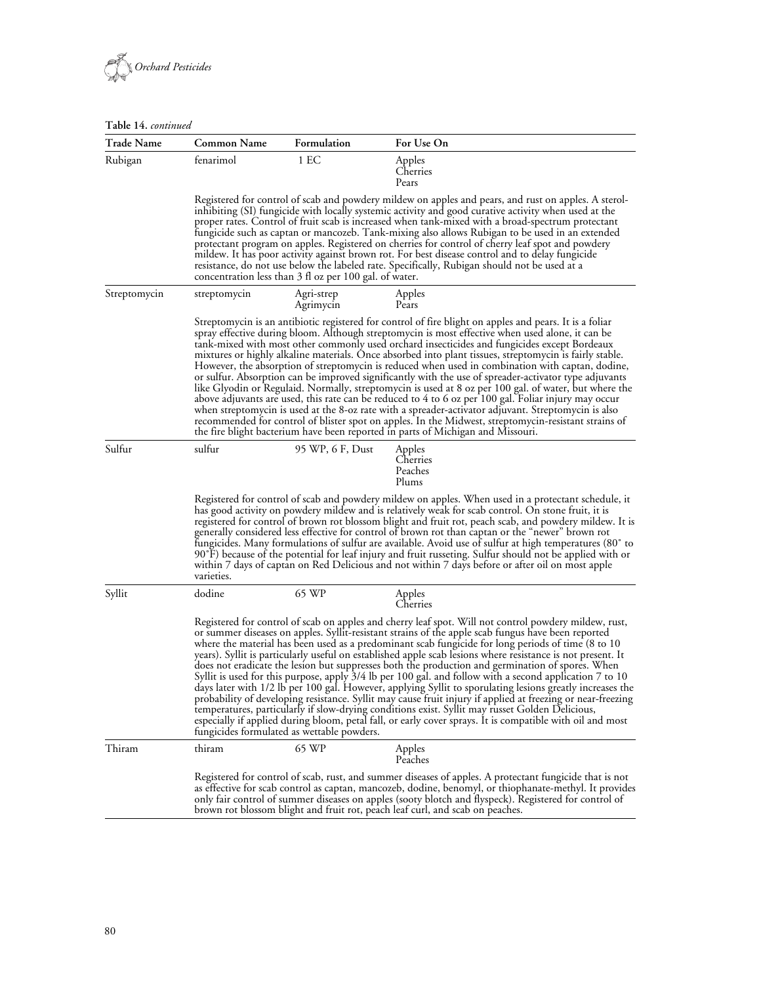

#### **Table 14.** *continued*

| <b>Trade Name</b> | Common Name  | Formulation                                                                                                                                                                                                                                                                                                                                                                                                                                                                                                                                                                                                                                                                                                                                                                                                                                                                                                                                                                                                                                                                                                                             | For Use On                                                                                                                                                                                                                                                                                                                                                                                                                                                                                                                                                                                                                                                                                                                                                                                                                                                                                                                                                                                                                                                                                                                                             |  |  |  |  |  |  |  |  |  |
|-------------------|--------------|-----------------------------------------------------------------------------------------------------------------------------------------------------------------------------------------------------------------------------------------------------------------------------------------------------------------------------------------------------------------------------------------------------------------------------------------------------------------------------------------------------------------------------------------------------------------------------------------------------------------------------------------------------------------------------------------------------------------------------------------------------------------------------------------------------------------------------------------------------------------------------------------------------------------------------------------------------------------------------------------------------------------------------------------------------------------------------------------------------------------------------------------|--------------------------------------------------------------------------------------------------------------------------------------------------------------------------------------------------------------------------------------------------------------------------------------------------------------------------------------------------------------------------------------------------------------------------------------------------------------------------------------------------------------------------------------------------------------------------------------------------------------------------------------------------------------------------------------------------------------------------------------------------------------------------------------------------------------------------------------------------------------------------------------------------------------------------------------------------------------------------------------------------------------------------------------------------------------------------------------------------------------------------------------------------------|--|--|--|--|--|--|--|--|--|
| Rubigan           | fenarimol    | 1 EC                                                                                                                                                                                                                                                                                                                                                                                                                                                                                                                                                                                                                                                                                                                                                                                                                                                                                                                                                                                                                                                                                                                                    | Apples<br>Cherries<br>Pears                                                                                                                                                                                                                                                                                                                                                                                                                                                                                                                                                                                                                                                                                                                                                                                                                                                                                                                                                                                                                                                                                                                            |  |  |  |  |  |  |  |  |  |
|                   |              | Registered for control of scab and powdery mildew on apples and pears, and rust on apples. A sterol-<br>inhibiting (SI) fungicide with locally systemic activity and good curative activity when used at the<br>proper rates. Control of fruit scab is increased when tank-mixed with a broad-spectrum protectant<br>fungicide such as captan or mancozeb. Tank-mixing also allows Rubigan to be used in an extended<br>protectant program on apples. Registered on cherries for control of cherry leaf spot and powdery<br>mildew. It has poor activity against brown rot. For best disease control and to delay fungicide<br>resistance, do not use below the labeled rate. Specifically, Rubigan should not be used at a<br>concentration less than 3 fl oz per 100 gal. of water.                                                                                                                                                                                                                                                                                                                                                   |                                                                                                                                                                                                                                                                                                                                                                                                                                                                                                                                                                                                                                                                                                                                                                                                                                                                                                                                                                                                                                                                                                                                                        |  |  |  |  |  |  |  |  |  |
| Streptomycin      | streptomycin | Agri-strep<br>Agrimycin                                                                                                                                                                                                                                                                                                                                                                                                                                                                                                                                                                                                                                                                                                                                                                                                                                                                                                                                                                                                                                                                                                                 | Apples<br>Pears                                                                                                                                                                                                                                                                                                                                                                                                                                                                                                                                                                                                                                                                                                                                                                                                                                                                                                                                                                                                                                                                                                                                        |  |  |  |  |  |  |  |  |  |
|                   |              |                                                                                                                                                                                                                                                                                                                                                                                                                                                                                                                                                                                                                                                                                                                                                                                                                                                                                                                                                                                                                                                                                                                                         | Streptomycin is an antibiotic registered for control of fire blight on apples and pears. It is a foliar<br>spray effective during bloom. Although streptomycin is most effective when used alone, it can be<br>tank-mixed with most other commonly used orchard insecticides and fungicides except Bordeaux<br>mixtures or highly alkaline materials. Once absorbed into plant tissues, streptomycin is fairly stable.<br>However, the absorption of streptomycin is reduced when used in combination with captan, dodine,<br>or sulfur. Absorption can be improved significantly with the use of spreader-activator type adjuvants<br>like Glyodin or Regulaid. Normally, streptomycin is used at 8 oz per 100 gal. of water, but where the<br>above adjuvants are used, this rate can be reduced to 4 to 6 oz per 100 gal. Foliar injury may occur<br>when streptomycin is used at the 8-oz rate with a spreader-activator adjuvant. Streptomycin is also<br>recommended for control of blister spot on apples. In the Midwest, streptomycin-resistant strains of<br>the fire blight bacterium have been reported in parts of Michigan and Missouri. |  |  |  |  |  |  |  |  |  |
| Sulfur            | sulfur       | 95 WP, 6 F, Dust                                                                                                                                                                                                                                                                                                                                                                                                                                                                                                                                                                                                                                                                                                                                                                                                                                                                                                                                                                                                                                                                                                                        | Apples<br>Cherries<br>Peaches<br>Plums                                                                                                                                                                                                                                                                                                                                                                                                                                                                                                                                                                                                                                                                                                                                                                                                                                                                                                                                                                                                                                                                                                                 |  |  |  |  |  |  |  |  |  |
|                   | varieties.   | Registered for control of scab and powdery mildew on apples. When used in a protectant schedule, it<br>has good activity on powdery mildew and is relatively weak for scab control. On stone fruit, it is<br>registered for control of brown rot blossom blight and fruit rot, peach scab, and powdery mildew. It is<br>generally considered less effective for control of brown rot than captan or the "newer" brown rot<br>fungicides. Many formulations of sulfur are available. Avoid use of sulfur at high temperatures (80° to<br>90°F) because of the potential for leaf injury and fruit russeting. Sulfur should not be applied with or<br>within 7 days of captan on Red Delicious and not within 7 days before or after oil on most apple                                                                                                                                                                                                                                                                                                                                                                                    |                                                                                                                                                                                                                                                                                                                                                                                                                                                                                                                                                                                                                                                                                                                                                                                                                                                                                                                                                                                                                                                                                                                                                        |  |  |  |  |  |  |  |  |  |
| Syllit            | dodine       | 65 WP                                                                                                                                                                                                                                                                                                                                                                                                                                                                                                                                                                                                                                                                                                                                                                                                                                                                                                                                                                                                                                                                                                                                   | Apples<br>Cherries                                                                                                                                                                                                                                                                                                                                                                                                                                                                                                                                                                                                                                                                                                                                                                                                                                                                                                                                                                                                                                                                                                                                     |  |  |  |  |  |  |  |  |  |
|                   |              | Registered for control of scab on apples and cherry leaf spot. Will not control powdery mildew, rust,<br>or summer diseases on apples. Syllit-resistant strains of the apple scab fungus have been reported<br>where the material has been used as a predominant scab fungicide for long periods of time (8 to 10)<br>years). Syllit is particularly useful on established apple scab lesions where resistance is not present. It<br>does not eradicate the lesion but suppresses both the production and germination of spores. When<br>Syllit is used for this purpose, apply 3/4 lb per 100 gal. and follow with a second application 7 to 10<br>days later with 1/2 lb per 100 gal. However, applying Syllit to sporulating lesions greatly increases the probability of developing resistance. Syllit may cause fruit injury if applied at freezing or near-freezing<br>temperatures, particularly if slow-drying conditions exist. Syllit may russet Golden Delicious,<br>especially if applied during bloom, petal fall, or early cover sprays. It is compatible with oil and most<br>fungicides formulated as wettable powders. |                                                                                                                                                                                                                                                                                                                                                                                                                                                                                                                                                                                                                                                                                                                                                                                                                                                                                                                                                                                                                                                                                                                                                        |  |  |  |  |  |  |  |  |  |
| Thiram            | thiram       | 65 WP                                                                                                                                                                                                                                                                                                                                                                                                                                                                                                                                                                                                                                                                                                                                                                                                                                                                                                                                                                                                                                                                                                                                   | Apples<br>Peaches                                                                                                                                                                                                                                                                                                                                                                                                                                                                                                                                                                                                                                                                                                                                                                                                                                                                                                                                                                                                                                                                                                                                      |  |  |  |  |  |  |  |  |  |
|                   |              | Registered for control of scab, rust, and summer diseases of apples. A protectant fungicide that is not<br>as effective for scab control as captan, mancozeb, dodine, benomyl, or thiophanate-methyl. It provides<br>only fair control of summer diseases on apples (sooty blotch and flyspeck). Registered for control of<br>brown rot blossom blight and fruit rot, peach leaf curl, and scab on peaches.                                                                                                                                                                                                                                                                                                                                                                                                                                                                                                                                                                                                                                                                                                                             |                                                                                                                                                                                                                                                                                                                                                                                                                                                                                                                                                                                                                                                                                                                                                                                                                                                                                                                                                                                                                                                                                                                                                        |  |  |  |  |  |  |  |  |  |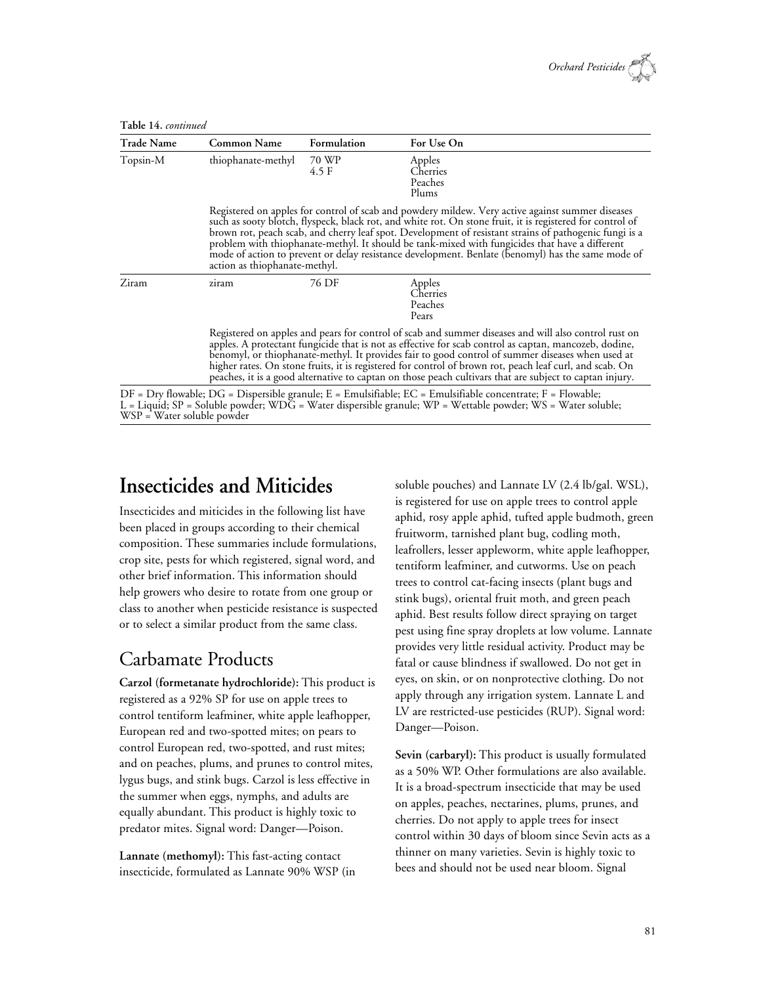

| <b>Trade Name</b> | <b>Common Name</b>            | Formulation                                                                                                                                                                                                                                                                                                                                                                                                                                                                                                                             | For Use On |  |  |  |  |  |  |  |  |  |
|-------------------|-------------------------------|-----------------------------------------------------------------------------------------------------------------------------------------------------------------------------------------------------------------------------------------------------------------------------------------------------------------------------------------------------------------------------------------------------------------------------------------------------------------------------------------------------------------------------------------|------------|--|--|--|--|--|--|--|--|--|
| Topsin-M<br>Ziram | thiophanate-methyl            | 70 WP<br>Apples<br>4.5 F<br>Cherries<br>Peaches<br>Plums                                                                                                                                                                                                                                                                                                                                                                                                                                                                                |            |  |  |  |  |  |  |  |  |  |
|                   | action as thiophanate-methyl. | Registered on apples for control of scab and powdery mildew. Very active against summer diseases<br>such as sooty blotch, flyspeck, black rot, and white rot. On stone fruit, it is registered for control of<br>brown rot, peach scab, and cherry leaf spot. Development of resistant strains of pathogenic fungi is a<br>problem with thiophanate-methyl. It should be tank-mixed with fungicides that have a different<br>mode of action to prevent or delay resistance development. Benlate (benomyl) has the same mode of          |            |  |  |  |  |  |  |  |  |  |
|                   | ziram                         | 76 DF<br>Apples<br>Cherries<br>Peaches<br>Pears                                                                                                                                                                                                                                                                                                                                                                                                                                                                                         |            |  |  |  |  |  |  |  |  |  |
|                   |                               | Registered on apples and pears for control of scab and summer diseases and will also control rust on<br>apples. A protectant fungicide that is not as effective for scab control as captan, mancozeb, dodine,<br>benomyl, or thiophanate-methyl. It provides fair to good control of summer diseases when used at<br>higher rates. On stone fruits, it is registered for control of brown rot, peach leaf curl, and scab. On<br>peaches, it is a good alternative to captan on those peach cultivars that are subject to captan injury. |            |  |  |  |  |  |  |  |  |  |

DF = Dry flowable; DG = Dispersible granule; E = Emulsifiable; EC = Emulsifiable concentrate; F = Flowable; L = Liquid; SP = Soluble powder; WDG = Water dispersible granule; WP = Wettable powder; WS = Water soluble; WSP = Water soluble powder

# **Insecticides and Miticides**

Insecticides and miticides in the following list have been placed in groups according to their chemical composition. These summaries include formulations, crop site, pests for which registered, signal word, and other brief information. This information should help growers who desire to rotate from one group or class to another when pesticide resistance is suspected or to select a similar product from the same class.

### Carbamate Products

**Carzol (formetanate hydrochloride):** This product is registered as a 92% SP for use on apple trees to control tentiform leafminer, white apple leafhopper, European red and two-spotted mites; on pears to control European red, two-spotted, and rust mites; and on peaches, plums, and prunes to control mites, lygus bugs, and stink bugs. Carzol is less effective in the summer when eggs, nymphs, and adults are equally abundant. This product is highly toxic to predator mites. Signal word: Danger—Poison.

**Lannate (methomyl):** This fast-acting contact insecticide, formulated as Lannate 90% WSP (in soluble pouches) and Lannate LV (2.4 lb/gal. WSL), is registered for use on apple trees to control apple aphid, rosy apple aphid, tufted apple budmoth, green fruitworm, tarnished plant bug, codling moth, leafrollers, lesser appleworm, white apple leafhopper, tentiform leafminer, and cutworms. Use on peach trees to control cat-facing insects (plant bugs and stink bugs), oriental fruit moth, and green peach aphid. Best results follow direct spraying on target pest using fine spray droplets at low volume. Lannate provides very little residual activity. Product may be fatal or cause blindness if swallowed. Do not get in eyes, on skin, or on nonprotective clothing. Do not apply through any irrigation system. Lannate L and LV are restricted-use pesticides (RUP). Signal word: Danger—Poison.

**Sevin (carbaryl):** This product is usually formulated as a 50% WP. Other formulations are also available. It is a broad-spectrum insecticide that may be used on apples, peaches, nectarines, plums, prunes, and cherries. Do not apply to apple trees for insect control within 30 days of bloom since Sevin acts as a thinner on many varieties. Sevin is highly toxic to bees and should not be used near bloom. Signal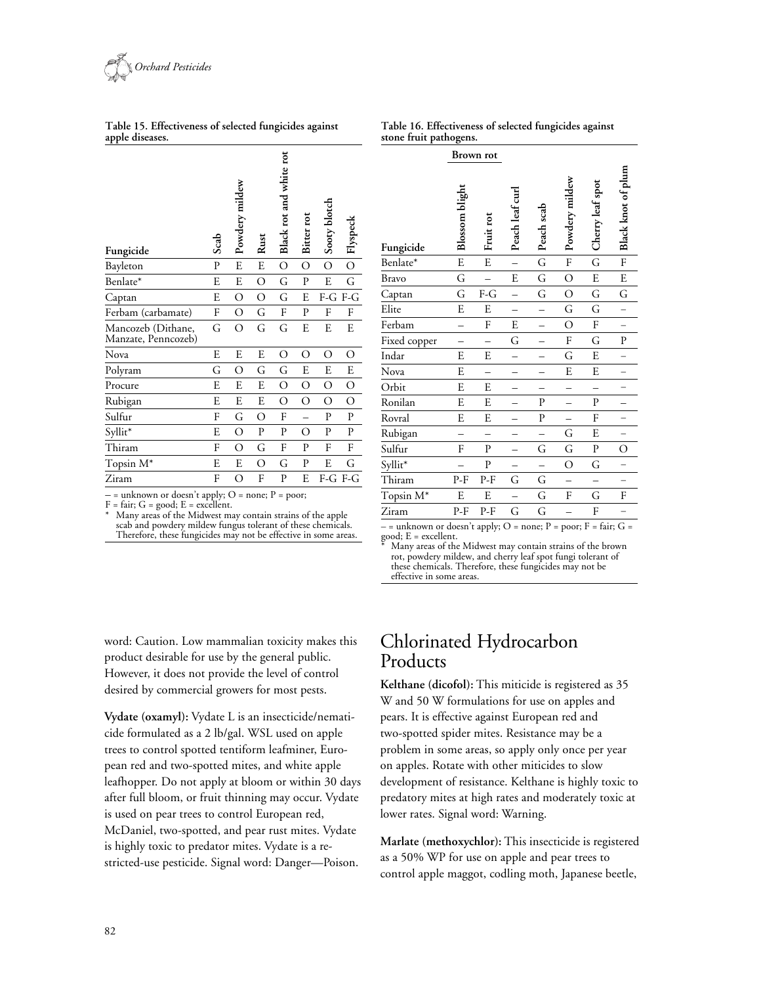

**Table 15. Effectiveness of selected fungicides against apple diseases.**

| Table 16. Effectiveness of selected fungicides against |  |
|--------------------------------------------------------|--|
| stone fruit pathogens.                                 |  |

| Fungicide                                 | Scab         | Powdery mildew | Rust        | Black rot and white rot | Bitter rot   | Sooty blotch   | Flyspeck       |
|-------------------------------------------|--------------|----------------|-------------|-------------------------|--------------|----------------|----------------|
| Bayleton                                  | $\mathbf{P}$ | E              | E           | $\overline{O}$          | O            | $\overline{O}$ | $\overline{O}$ |
| Benlate*                                  | E            | E              | O           | G                       | P            | E              | G              |
| Captan                                    | E            | О              | O           | G                       | E            |                | F-G F-G        |
| Ferbam (carbamate)                        | F            | О              | G           | F                       | P            | F              | F              |
| Mancozeb (Dithane,<br>Manzate, Penncozeb) | G            | О              | G           | G                       | E            | E              | E              |
| Nova                                      | E            | E              | E           | О                       | O            | О              | О              |
| Polyram                                   | G            | О              | G           | G                       | E            | E              | E              |
| Procure                                   | E            | E              | E           | О                       | O            | О              | О              |
| Rubigan                                   | E            | E              | E           | O                       | О            | $\circ$        | $\circ$        |
| Sulfur                                    | F            | G              | О           | F                       |              | P              | P              |
| Syllit*                                   | E            | О              | $\mathbf P$ | P                       | O            | P              | P              |
| Thiram                                    | F            | O              | G           | F                       | $\mathbf{P}$ | F              | F              |
| Topsin M*                                 | E            | E              | О           | G                       | P            | E              | G              |
| Ziram                                     | F            | О              | F           | P                       | E            | F-G            | $F-G$          |

|                 |  | $-$ = unknown or doesn't apply; O = none; P = poor; |
|-----------------|--|-----------------------------------------------------|
| P (* O 1 P 11 . |  |                                                     |

 $F = \text{fair}; G = \text{good}; E = \text{excellent}.$ 

Many areas of the Midwest may contain strains of the apple scab and powdery mildew fungus tolerant of these chemicals. Therefore, these fungicides may not be effective in some areas.

|              |                       | Brown rot    |                 |              |                |                  |                    |
|--------------|-----------------------|--------------|-----------------|--------------|----------------|------------------|--------------------|
| Fungicide    | <b>Blossom</b> blight | Fruit rot    | Peach leaf curl | Peach scab   | Powdery mildew | Cherry leaf spot | Black knot of plum |
| Benlate*     | E                     | ${\bf E}$    |                 | G            | ${\rm F}$      | G                | F                  |
| <b>Bravo</b> | G                     |              | E               | G            | $\overline{O}$ | ${\bf E}$        | ${\bf E}$          |
| Captan       | G                     | $F-G$        |                 | G            | $\circ$        | G                | G                  |
| Elite        | E                     | E            |                 |              | G              | G                |                    |
| Ferbam       |                       | F            | E               |              | $\overline{O}$ | F                |                    |
| Fixed copper |                       |              | G               |              | F              | G                | P                  |
| Indar        | E                     | E            |                 |              | G              | E                |                    |
| Nova         | E                     |              |                 |              | E              | E                |                    |
| Orbit        | E                     | E            |                 |              |                |                  |                    |
| Ronilan      | E                     | E            |                 | $\mathbf{P}$ |                | P                |                    |
| Rovral       | E                     | E            |                 | $\mathbf{P}$ |                | F                |                    |
| Rubigan      |                       |              |                 |              | G              | E                |                    |
| Sulfur       | F                     | $\mathbf{P}$ |                 | G            | G              | P                | O                  |
| Syllit*      |                       | $\mathbf P$  |                 |              | O              | G                |                    |
| Thiram       | P-F                   | P-F          | G               | G            |                |                  |                    |
| Topsin M*    | E                     | E            |                 | G            | F              | G                | F                  |
| Ziram        | P-F                   | P-F          | G               | G            |                | F                |                    |

 $-$  = unknown or doesn't apply; O = none; P = poor; F = fair; G = good; E = excellent.

Many areas of the Midwest may contain strains of the brown rot, powdery mildew, and cherry leaf spot fungi tolerant of these chemicals. Therefore, these fungicides may not be effective in some areas.

word: Caution. Low mammalian toxicity makes this product desirable for use by the general public. However, it does not provide the level of control desired by commercial growers for most pests.

**Vydate (oxamyl):** Vydate L is an insecticide/nematicide formulated as a 2 lb/gal. WSL used on apple trees to control spotted tentiform leafminer, European red and two-spotted mites, and white apple leafhopper. Do not apply at bloom or within 30 days after full bloom, or fruit thinning may occur. Vydate is used on pear trees to control European red, McDaniel, two-spotted, and pear rust mites. Vydate is highly toxic to predator mites. Vydate is a restricted-use pesticide. Signal word: Danger—Poison.

### Chlorinated Hydrocarbon Products

**Kelthane (dicofol):** This miticide is registered as 35 W and 50 W formulations for use on apples and pears. It is effective against European red and two-spotted spider mites. Resistance may be a problem in some areas, so apply only once per year on apples. Rotate with other miticides to slow development of resistance. Kelthane is highly toxic to predatory mites at high rates and moderately toxic at lower rates. Signal word: Warning.

**Marlate (methoxychlor):** This insecticide is registered as a 50% WP for use on apple and pear trees to control apple maggot, codling moth, Japanese beetle,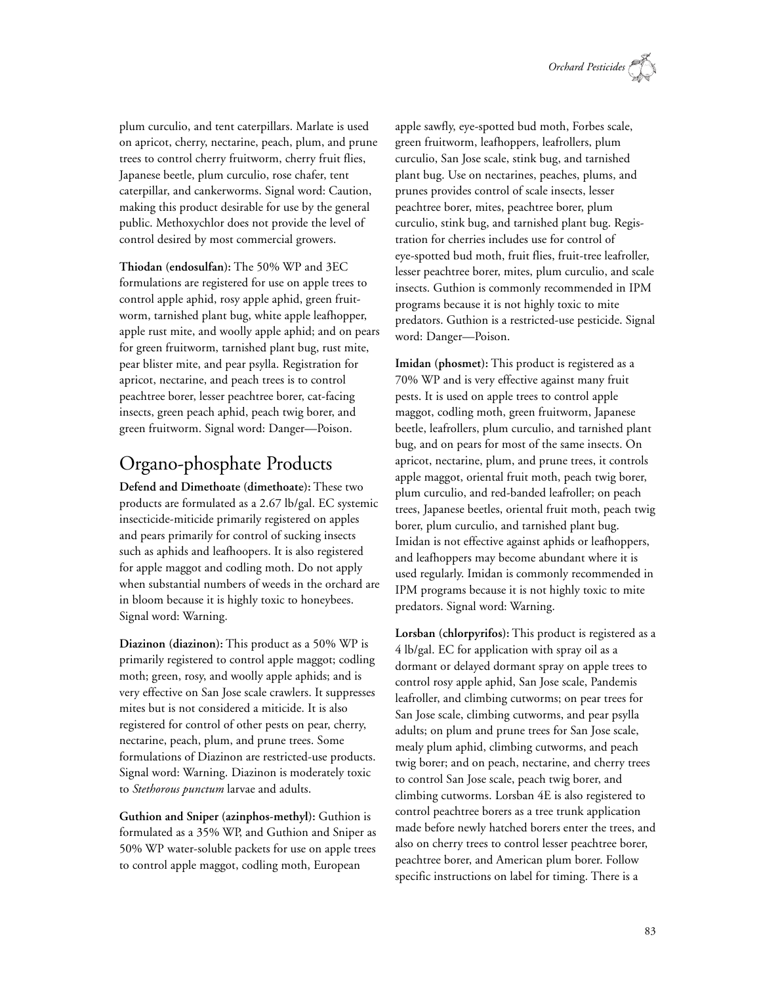

plum curculio, and tent caterpillars. Marlate is used on apricot, cherry, nectarine, peach, plum, and prune trees to control cherry fruitworm, cherry fruit flies, Japanese beetle, plum curculio, rose chafer, tent caterpillar, and cankerworms. Signal word: Caution, making this product desirable for use by the general public. Methoxychlor does not provide the level of control desired by most commercial growers.

**Thiodan (endosulfan):** The 50% WP and 3EC formulations are registered for use on apple trees to control apple aphid, rosy apple aphid, green fruitworm, tarnished plant bug, white apple leafhopper, apple rust mite, and woolly apple aphid; and on pears for green fruitworm, tarnished plant bug, rust mite, pear blister mite, and pear psylla. Registration for apricot, nectarine, and peach trees is to control peachtree borer, lesser peachtree borer, cat-facing insects, green peach aphid, peach twig borer, and green fruitworm. Signal word: Danger—Poison.

### Organo-phosphate Products

**Defend and Dimethoate (dimethoate):** These two products are formulated as a 2.67 lb/gal. EC systemic insecticide-miticide primarily registered on apples and pears primarily for control of sucking insects such as aphids and leafhoopers. It is also registered for apple maggot and codling moth. Do not apply when substantial numbers of weeds in the orchard are in bloom because it is highly toxic to honeybees. Signal word: Warning.

**Diazinon (diazinon):** This product as a 50% WP is primarily registered to control apple maggot; codling moth; green, rosy, and woolly apple aphids; and is very effective on San Jose scale crawlers. It suppresses mites but is not considered a miticide. It is also registered for control of other pests on pear, cherry, nectarine, peach, plum, and prune trees. Some formulations of Diazinon are restricted-use products. Signal word: Warning. Diazinon is moderately toxic to *Stethorous punctum* larvae and adults.

**Guthion and Sniper (azinphos-methyl):** Guthion is formulated as a 35% WP, and Guthion and Sniper as 50% WP water-soluble packets for use on apple trees to control apple maggot, codling moth, European

apple sawfly, eye-spotted bud moth, Forbes scale, green fruitworm, leafhoppers, leafrollers, plum curculio, San Jose scale, stink bug, and tarnished plant bug. Use on nectarines, peaches, plums, and prunes provides control of scale insects, lesser peachtree borer, mites, peachtree borer, plum curculio, stink bug, and tarnished plant bug. Registration for cherries includes use for control of eye-spotted bud moth, fruit flies, fruit-tree leafroller, lesser peachtree borer, mites, plum curculio, and scale insects. Guthion is commonly recommended in IPM programs because it is not highly toxic to mite predators. Guthion is a restricted-use pesticide. Signal word: Danger—Poison.

**Imidan (phosmet):** This product is registered as a 70% WP and is very effective against many fruit pests. It is used on apple trees to control apple maggot, codling moth, green fruitworm, Japanese beetle, leafrollers, plum curculio, and tarnished plant bug, and on pears for most of the same insects. On apricot, nectarine, plum, and prune trees, it controls apple maggot, oriental fruit moth, peach twig borer, plum curculio, and red-banded leafroller; on peach trees, Japanese beetles, oriental fruit moth, peach twig borer, plum curculio, and tarnished plant bug. Imidan is not effective against aphids or leafhoppers, and leafhoppers may become abundant where it is used regularly. Imidan is commonly recommended in IPM programs because it is not highly toxic to mite predators. Signal word: Warning.

**Lorsban (chlorpyrifos):** This product is registered as a 4 lb/gal. EC for application with spray oil as a dormant or delayed dormant spray on apple trees to control rosy apple aphid, San Jose scale, Pandemis leafroller, and climbing cutworms; on pear trees for San Jose scale, climbing cutworms, and pear psylla adults; on plum and prune trees for San Jose scale, mealy plum aphid, climbing cutworms, and peach twig borer; and on peach, nectarine, and cherry trees to control San Jose scale, peach twig borer, and climbing cutworms. Lorsban 4E is also registered to control peachtree borers as a tree trunk application made before newly hatched borers enter the trees, and also on cherry trees to control lesser peachtree borer, peachtree borer, and American plum borer. Follow specific instructions on label for timing. There is a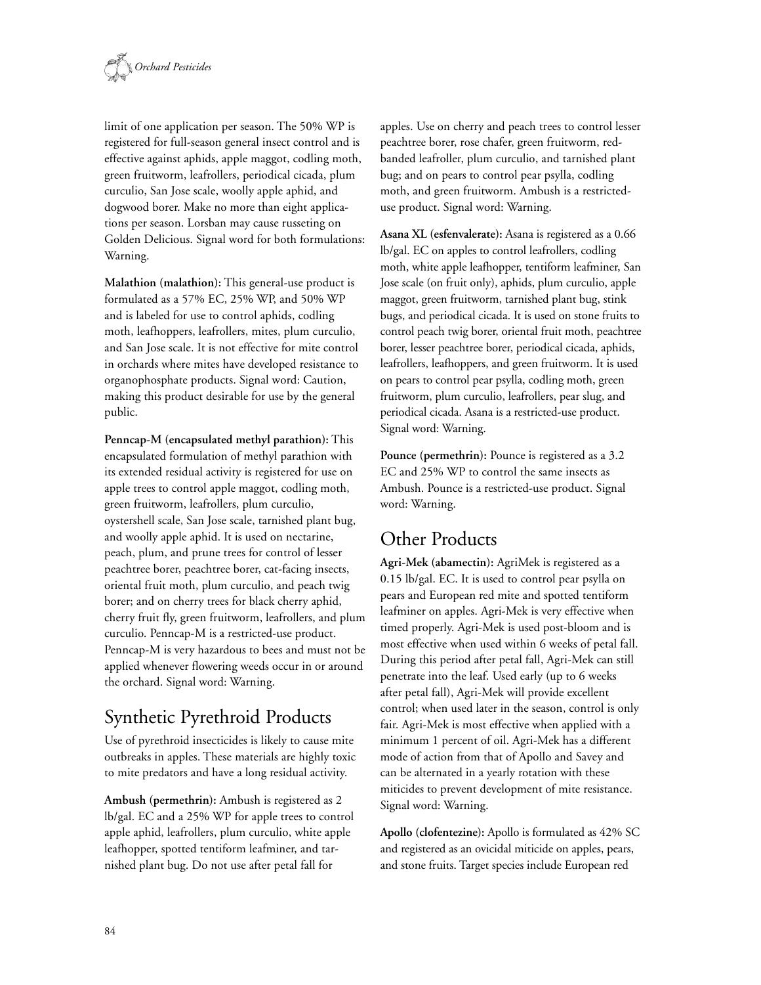

limit of one application per season. The 50% WP is registered for full-season general insect control and is effective against aphids, apple maggot, codling moth, green fruitworm, leafrollers, periodical cicada, plum curculio, San Jose scale, woolly apple aphid, and dogwood borer. Make no more than eight applications per season. Lorsban may cause russeting on Golden Delicious. Signal word for both formulations: Warning.

**Malathion (malathion):** This general-use product is formulated as a 57% EC, 25% WP, and 50% WP and is labeled for use to control aphids, codling moth, leafhoppers, leafrollers, mites, plum curculio, and San Jose scale. It is not effective for mite control in orchards where mites have developed resistance to organophosphate products. Signal word: Caution, making this product desirable for use by the general public.

**Penncap-M (encapsulated methyl parathion):** This encapsulated formulation of methyl parathion with its extended residual activity is registered for use on apple trees to control apple maggot, codling moth, green fruitworm, leafrollers, plum curculio, oystershell scale, San Jose scale, tarnished plant bug, and woolly apple aphid. It is used on nectarine, peach, plum, and prune trees for control of lesser peachtree borer, peachtree borer, cat-facing insects, oriental fruit moth, plum curculio, and peach twig borer; and on cherry trees for black cherry aphid, cherry fruit fly, green fruitworm, leafrollers, and plum curculio. Penncap-M is a restricted-use product. Penncap-M is very hazardous to bees and must not be applied whenever flowering weeds occur in or around the orchard. Signal word: Warning.

# Synthetic Pyrethroid Products

Use of pyrethroid insecticides is likely to cause mite outbreaks in apples. These materials are highly toxic to mite predators and have a long residual activity.

**Ambush (permethrin):** Ambush is registered as 2 lb/gal. EC and a 25% WP for apple trees to control apple aphid, leafrollers, plum curculio, white apple leafhopper, spotted tentiform leafminer, and tarnished plant bug. Do not use after petal fall for

apples. Use on cherry and peach trees to control lesser peachtree borer, rose chafer, green fruitworm, redbanded leafroller, plum curculio, and tarnished plant bug; and on pears to control pear psylla, codling moth, and green fruitworm. Ambush is a restricteduse product. Signal word: Warning.

**Asana XL (esfenvalerate):** Asana is registered as a 0.66 lb/gal. EC on apples to control leafrollers, codling moth, white apple leafhopper, tentiform leafminer, San Jose scale (on fruit only), aphids, plum curculio, apple maggot, green fruitworm, tarnished plant bug, stink bugs, and periodical cicada. It is used on stone fruits to control peach twig borer, oriental fruit moth, peachtree borer, lesser peachtree borer, periodical cicada, aphids, leafrollers, leafhoppers, and green fruitworm. It is used on pears to control pear psylla, codling moth, green fruitworm, plum curculio, leafrollers, pear slug, and periodical cicada. Asana is a restricted-use product. Signal word: Warning.

**Pounce (permethrin):** Pounce is registered as a 3.2 EC and 25% WP to control the same insects as Ambush. Pounce is a restricted-use product. Signal word: Warning.

# Other Products

**Agri-Mek (abamectin):** AgriMek is registered as a 0.15 lb/gal. EC. It is used to control pear psylla on pears and European red mite and spotted tentiform leafminer on apples. Agri-Mek is very effective when timed properly. Agri-Mek is used post-bloom and is most effective when used within 6 weeks of petal fall. During this period after petal fall, Agri-Mek can still penetrate into the leaf. Used early (up to 6 weeks after petal fall), Agri-Mek will provide excellent control; when used later in the season, control is only fair. Agri-Mek is most effective when applied with a minimum 1 percent of oil. Agri-Mek has a different mode of action from that of Apollo and Savey and can be alternated in a yearly rotation with these miticides to prevent development of mite resistance. Signal word: Warning.

**Apollo (clofentezine):** Apollo is formulated as 42% SC and registered as an ovicidal miticide on apples, pears, and stone fruits. Target species include European red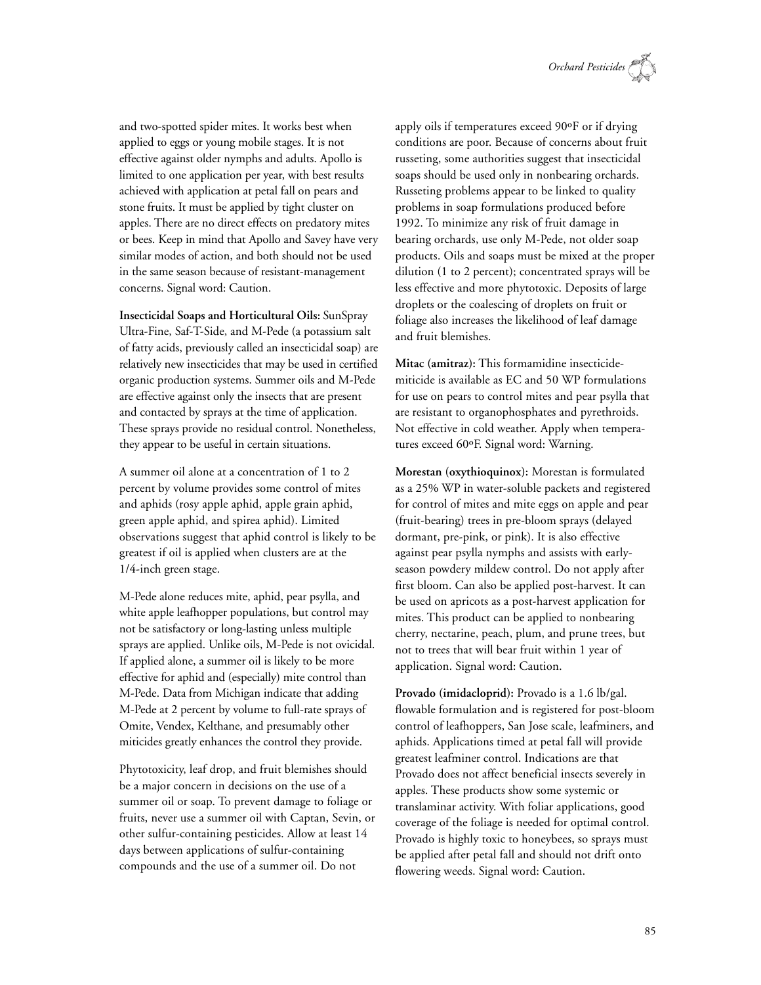

and two-spotted spider mites. It works best when applied to eggs or young mobile stages. It is not effective against older nymphs and adults. Apollo is limited to one application per year, with best results achieved with application at petal fall on pears and stone fruits. It must be applied by tight cluster on apples. There are no direct effects on predatory mites or bees. Keep in mind that Apollo and Savey have very similar modes of action, and both should not be used in the same season because of resistant-management concerns. Signal word: Caution.

**Insecticidal Soaps and Horticultural Oils:** SunSpray Ultra-Fine, Saf-T-Side, and M-Pede (a potassium salt of fatty acids, previously called an insecticidal soap) are relatively new insecticides that may be used in certified organic production systems. Summer oils and M-Pede are effective against only the insects that are present and contacted by sprays at the time of application. These sprays provide no residual control. Nonetheless, they appear to be useful in certain situations.

A summer oil alone at a concentration of 1 to 2 percent by volume provides some control of mites and aphids (rosy apple aphid, apple grain aphid, green apple aphid, and spirea aphid). Limited observations suggest that aphid control is likely to be greatest if oil is applied when clusters are at the 1/4-inch green stage.

M-Pede alone reduces mite, aphid, pear psylla, and white apple leafhopper populations, but control may not be satisfactory or long-lasting unless multiple sprays are applied. Unlike oils, M-Pede is not ovicidal. If applied alone, a summer oil is likely to be more effective for aphid and (especially) mite control than M-Pede. Data from Michigan indicate that adding M-Pede at 2 percent by volume to full-rate sprays of Omite, Vendex, Kelthane, and presumably other miticides greatly enhances the control they provide.

Phytotoxicity, leaf drop, and fruit blemishes should be a major concern in decisions on the use of a summer oil or soap. To prevent damage to foliage or fruits, never use a summer oil with Captan, Sevin, or other sulfur-containing pesticides. Allow at least 14 days between applications of sulfur-containing compounds and the use of a summer oil. Do not

apply oils if temperatures exceed 90ºF or if drying conditions are poor. Because of concerns about fruit russeting, some authorities suggest that insecticidal soaps should be used only in nonbearing orchards. Russeting problems appear to be linked to quality problems in soap formulations produced before 1992. To minimize any risk of fruit damage in bearing orchards, use only M-Pede, not older soap products. Oils and soaps must be mixed at the proper dilution (1 to 2 percent); concentrated sprays will be less effective and more phytotoxic. Deposits of large droplets or the coalescing of droplets on fruit or foliage also increases the likelihood of leaf damage and fruit blemishes.

**Mitac (amitraz):** This formamidine insecticidemiticide is available as EC and 50 WP formulations for use on pears to control mites and pear psylla that are resistant to organophosphates and pyrethroids. Not effective in cold weather. Apply when temperatures exceed 60ºF. Signal word: Warning.

**Morestan (oxythioquinox):** Morestan is formulated as a 25% WP in water-soluble packets and registered for control of mites and mite eggs on apple and pear (fruit-bearing) trees in pre-bloom sprays (delayed dormant, pre-pink, or pink). It is also effective against pear psylla nymphs and assists with earlyseason powdery mildew control. Do not apply after first bloom. Can also be applied post-harvest. It can be used on apricots as a post-harvest application for mites. This product can be applied to nonbearing cherry, nectarine, peach, plum, and prune trees, but not to trees that will bear fruit within 1 year of application. Signal word: Caution.

**Provado (imidacloprid):** Provado is a 1.6 lb/gal. flowable formulation and is registered for post-bloom control of leafhoppers, San Jose scale, leafminers, and aphids. Applications timed at petal fall will provide greatest leafminer control. Indications are that Provado does not affect beneficial insects severely in apples. These products show some systemic or translaminar activity. With foliar applications, good coverage of the foliage is needed for optimal control. Provado is highly toxic to honeybees, so sprays must be applied after petal fall and should not drift onto flowering weeds. Signal word: Caution.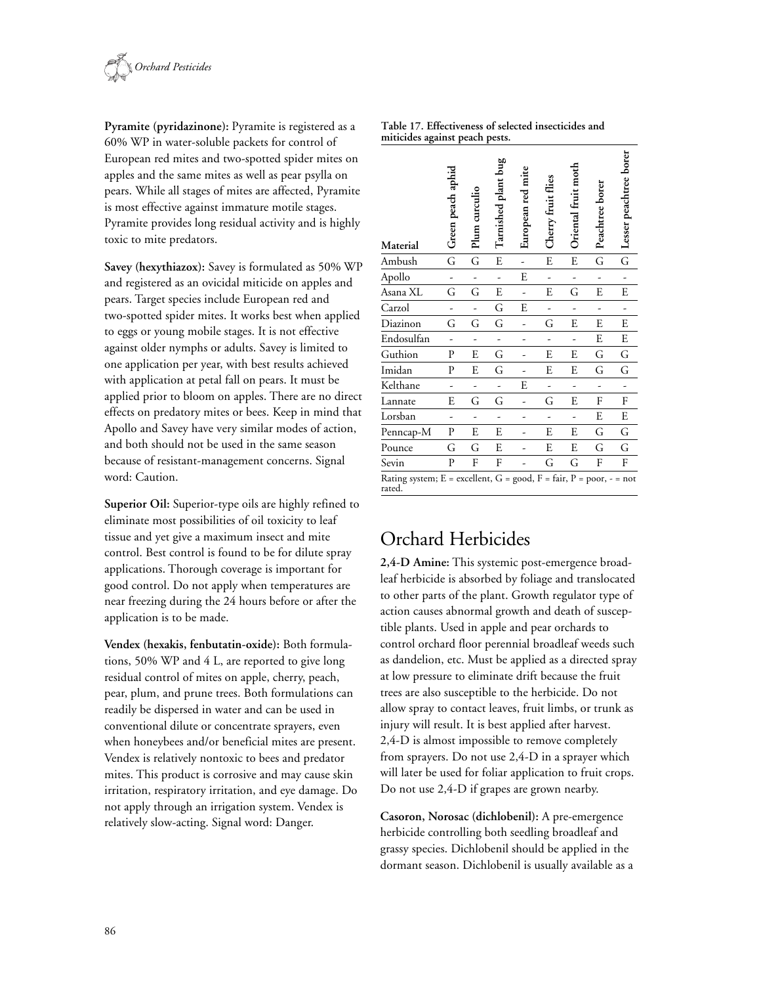

**Pyramite (pyridazinone):** Pyramite is registered as a 60% WP in water-soluble packets for control of European red mites and two-spotted spider mites on apples and the same mites as well as pear psylla on pears. While all stages of mites are affected, Pyramite is most effective against immature motile stages. Pyramite provides long residual activity and is highly toxic to mite predators.

**Savey (hexythiazox):** Savey is formulated as 50% WP and registered as an ovicidal miticide on apples and pears. Target species include European red and two-spotted spider mites. It works best when applied to eggs or young mobile stages. It is not effective against older nymphs or adults. Savey is limited to one application per year, with best results achieved with application at petal fall on pears. It must be applied prior to bloom on apples. There are no direct effects on predatory mites or bees. Keep in mind that Apollo and Savey have very similar modes of action, and both should not be used in the same season because of resistant-management concerns. Signal word: Caution.

**Superior Oil:** Superior-type oils are highly refined to eliminate most possibilities of oil toxicity to leaf tissue and yet give a maximum insect and mite control. Best control is found to be for dilute spray applications. Thorough coverage is important for good control. Do not apply when temperatures are near freezing during the 24 hours before or after the application is to be made.

**Vendex (hexakis, fenbutatin-oxide):** Both formulations, 50% WP and 4 L, are reported to give long residual control of mites on apple, cherry, peach, pear, plum, and prune trees. Both formulations can readily be dispersed in water and can be used in conventional dilute or concentrate sprayers, even when honeybees and/or beneficial mites are present. Vendex is relatively nontoxic to bees and predator mites. This product is corrosive and may cause skin irritation, respiratory irritation, and eye damage. Do not apply through an irrigation system. Vendex is relatively slow-acting. Signal word: Danger.

| Material                                                                              | Green peach aphid | Plum curculio | Tarnished plant bug | European red mite | Cherry fruit flies | Oriental fruit moth | Peachtree borer | Lesser peachtree borer |
|---------------------------------------------------------------------------------------|-------------------|---------------|---------------------|-------------------|--------------------|---------------------|-----------------|------------------------|
| Ambush                                                                                | G                 | G             | E                   |                   | E                  | E                   | G               | G                      |
| Apollo                                                                                |                   |               |                     | E                 |                    |                     |                 |                        |
| Asana XL                                                                              | G                 | G             | E                   |                   | E                  | G                   | E               | E                      |
| Carzol                                                                                |                   |               | G                   | E                 |                    |                     |                 |                        |
| Diazinon                                                                              | G                 | G             | G                   |                   | G                  | E                   | E               | E                      |
| Endosulfan                                                                            |                   |               |                     |                   |                    |                     | E               | E                      |
| Guthion                                                                               | P                 | E             | G                   |                   | E                  | E                   | G               | G                      |
| Imidan                                                                                | P                 | E             | G                   |                   | E                  | E                   | G               | G                      |
| Kelthane                                                                              |                   |               |                     | E                 |                    |                     | -               |                        |
| Lannate                                                                               | E                 | G             | G                   |                   | G                  | E                   | F               | F                      |
| Lorsban                                                                               |                   |               |                     |                   |                    |                     | E               | E                      |
| Penncap-M                                                                             | P                 | E             | E                   |                   | E                  | E                   | G               | G                      |
| Pounce                                                                                | G                 | G             | E                   |                   | E                  | E                   | G               | G                      |
| Sevin                                                                                 | $\mathbf{P}$      | F             | F                   |                   | G                  | G                   | F               | F                      |
| Rating system; $E =$ excellent, $G =$ good, $F =$ fair, $P =$ poor, - = not<br>rated. |                   |               |                     |                   |                    |                     |                 |                        |

#### **Table 17. Effectiveness of selected insecticides and miticides against peach pests.**

# Orchard Herbicides

**2,4-D Amine:** This systemic post-emergence broadleaf herbicide is absorbed by foliage and translocated to other parts of the plant. Growth regulator type of action causes abnormal growth and death of susceptible plants. Used in apple and pear orchards to control orchard floor perennial broadleaf weeds such as dandelion, etc. Must be applied as a directed spray at low pressure to eliminate drift because the fruit trees are also susceptible to the herbicide. Do not allow spray to contact leaves, fruit limbs, or trunk as injury will result. It is best applied after harvest. 2,4-D is almost impossible to remove completely from sprayers. Do not use 2,4-D in a sprayer which will later be used for foliar application to fruit crops. Do not use 2,4-D if grapes are grown nearby.

**Casoron, Norosac (dichlobenil):** A pre-emergence herbicide controlling both seedling broadleaf and grassy species. Dichlobenil should be applied in the dormant season. Dichlobenil is usually available as a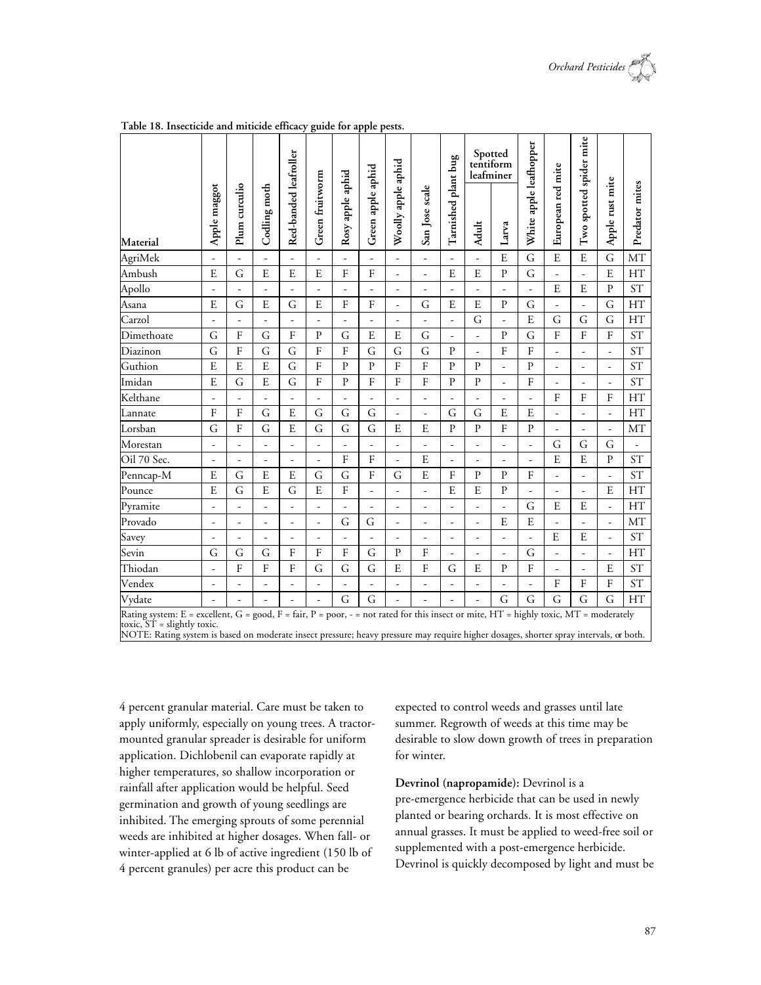

|                                                                                                                                                                        |                          |                |                |                       |                 |                          |                   |                          |                          | plant bug                |                          | Spotted<br>tentiform<br>leafminer |                          |                          |                          |                          |                          |
|------------------------------------------------------------------------------------------------------------------------------------------------------------------------|--------------------------|----------------|----------------|-----------------------|-----------------|--------------------------|-------------------|--------------------------|--------------------------|--------------------------|--------------------------|-----------------------------------|--------------------------|--------------------------|--------------------------|--------------------------|--------------------------|
| Material                                                                                                                                                               | Apple maggot             | Plum curculio  | Codling moth   | Red-banded leafroller | Green fruitworm | Rosy apple aphid         | Green apple aphid | Woolly apple aphid       | San Jose scale           | Tarnished                | Adult                    | Larva                             | White apple leafhopper   | European red mite        | Two spotted spider mite  | Apple rust mite          | Predator mites           |
| AgriMek                                                                                                                                                                | ÷,                       | -              |                | ÷,                    | -               |                          |                   | $\frac{1}{2}$            | $\frac{1}{2}$            |                          | ÷,                       | E                                 | $\overline{G}$           | E                        | E                        | G                        | MT                       |
| Ambush                                                                                                                                                                 | E                        | G              | $\mathbf E$    | E                     | E               | $\mathbf{F}$             | $\mathbf F$       | ÷,                       | ÷,                       | E                        | E                        | $\mathbf{P}$                      | G                        | ÷,                       | ä,                       | E                        | <b>HT</b>                |
| Apollo                                                                                                                                                                 | ÷,                       | ÷,             | ÷,             | ÷,                    | $\overline{a}$  | $\overline{\phantom{0}}$ | -                 | ÷,                       | $\overline{\phantom{0}}$ | -                        | L,                       | ÷,                                | L.                       | E                        | E                        | $\mathbf{P}$             | <b>ST</b>                |
| Asana                                                                                                                                                                  | E                        | G              | E              | G                     | E               | $\mathbf F$              | F                 | L,                       | G                        | E                        | $\overline{E}$           | ${\bf P}$                         | G                        |                          | ÷,                       | G                        | HT                       |
| Carzol                                                                                                                                                                 | $\overline{\phantom{a}}$ | ÷,             | $\overline{a}$ | ÷                     | ÷,              | $\overline{\phantom{a}}$ | $\frac{1}{2}$     | $\frac{1}{2}$            | $\overline{\phantom{m}}$ | -                        | G                        | $\overline{\phantom{a}}$          | E                        | G                        | G                        | G                        | <b>HT</b>                |
| Dimethoate                                                                                                                                                             | G                        | $\mathbf{F}$   | G              | $\mathbf{F}$          | $\mathbf{P}$    | G                        | E                 | E                        | G                        | ÷,                       | L,                       | $\mathbf{P}$                      | G                        | F                        | F                        | $\mathbf{F}$             | <b>ST</b>                |
| Diazinon                                                                                                                                                               | G                        | F              | G              | G                     | $\mathbf F$     | $\mathbf{F}$             | G                 | G                        | G                        | $\mathbf{P}$             | ÷,                       | $\rm F$                           | ${\bf F}$                | ÷,                       | ÷,                       | $\overline{a}$           | <b>ST</b>                |
| Guthion                                                                                                                                                                | E                        | $\overline{E}$ | $\overline{E}$ | G                     | $\rm F$         | $\mathbf P$              | $\mathbf{P}$      | $\mathbf F$              | F                        | ${\bf P}$                | ${\bf P}$                | ÷,                                | ${\bf P}$                | -                        | ÷                        | $\overline{\phantom{m}}$ | <b>ST</b>                |
| Imidan                                                                                                                                                                 | E                        | G              | E              | G                     | $\mathbf F$     | $\mathbf{P}$             | F                 | $\overline{F}$           | ${\bf F}$                | $\mathbf{P}$             | $\mathbf{P}$             | ÷,                                | $\mathbf{F}$             | ÷,                       | $\overline{\phantom{a}}$ | ÷,                       | <b>ST</b>                |
| Kelthane                                                                                                                                                               | ÷,                       | ÷,             | ÷,             | $\frac{1}{2}$         | $\overline{a}$  | ÷,                       | $\overline{a}$    | L,                       | L,                       | ÷,                       | $\frac{1}{2}$            | ÷,                                | L,                       | F                        | $\mathbf{F}$             | F                        | HT                       |
| Lannate                                                                                                                                                                | $\mathbf{F}$             | $\mathbf{F}$   | G              | E                     | G               | G                        | G                 | ÷,                       | ÷,                       | G                        | G                        | E                                 | E                        | ÷,                       | ÷,                       | ä,                       | HT                       |
| Lorsban                                                                                                                                                                | G                        | F              | G              | ${\bf E}$             | $\mathsf G$     | G                        | G                 | E                        | E                        | $\mathbf{P}$             | $\mathbf{P}$             | $\overline{\mathrm{F}}$           | ${\bf P}$                | $\overline{\phantom{a}}$ | $\overline{\phantom{a}}$ | $\overline{\phantom{a}}$ | MT                       |
| Morestan                                                                                                                                                               | $\frac{1}{2}$            | $\frac{1}{2}$  | $\frac{1}{2}$  | ÷,                    | -               | -                        | -                 | ÷,                       | -                        | -                        | $\frac{1}{2}$            | ÷,                                | -                        | G                        | G                        | G                        | $\overline{\phantom{a}}$ |
| Oil 70 Sec.                                                                                                                                                            | ÷.                       | ÷,             | $\overline{a}$ | $\overline{a}$        | $\overline{a}$  | F                        | $\mathbf F$       | L.                       | E                        | L.                       | ÷,                       | ÷,                                | ÷,                       | E                        | E                        | $\mathbf{P}$             | <b>ST</b>                |
| Penncap-M                                                                                                                                                              | E                        | G              | $\overline{E}$ | $\overline{E}$        | $\overline{G}$  | G                        | ${\bf F}$         | G                        | $\mathbf E$              | $\mathbf{F}$             | $\mathbf{P}$             | $\, {\bf p}$                      | $\overline{F}$           | L,                       | $\overline{\phantom{a}}$ | ÷.                       | <b>ST</b>                |
| Pounce                                                                                                                                                                 | E                        | G              | E              | $\overline{G}$        | E               | $\overline{\mathrm{F}}$  | -                 | ÷,                       | $\overline{\phantom{a}}$ | E                        | E                        | ${\bf P}$                         | $\overline{\phantom{a}}$ | $\overline{\phantom{a}}$ | ÷,                       | E                        | HT                       |
| Pyramite                                                                                                                                                               | ÷,                       | -              | $\frac{1}{2}$  | ÷,                    | -               |                          | L                 | ÷,                       | ÷,                       |                          | ÷,                       | $\overline{a}$                    | G                        | E                        | E                        | ä,                       | HT                       |
| Provado                                                                                                                                                                | $\overline{\phantom{0}}$ | ٠              | $\frac{1}{2}$  | $\overline{a}$        | $\overline{a}$  | G                        | G                 | $\overline{\phantom{a}}$ | $\overline{\phantom{m}}$ | $\overline{\phantom{m}}$ | $\overline{\phantom{a}}$ | E                                 | E                        | ÷,                       | ÷.                       | $\overline{\phantom{a}}$ | MT                       |
| Savey                                                                                                                                                                  | ÷.                       | ÷,             | ÷,             | ÷,                    | ÷,              | ÷,                       | ÷,                | ÷,                       | ÷,                       | ÷,                       | ÷,                       | ÷,                                | ÷,                       | E                        | E                        | ÷,                       | <b>ST</b>                |
| Sevin                                                                                                                                                                  | G                        | G              | G              | $\rm F$               | $\rm F$         | F                        | G                 | $\mathbf{P}$             | ${\bf F}$                | -                        | ÷,                       | $\frac{1}{2}$                     | G                        | ÷,                       | ä,                       | $\overline{\phantom{a}}$ | HT                       |
| Thiodan                                                                                                                                                                | $\overline{\phantom{0}}$ | F              | $\mathbf{F}$   | $\mathbf{F}$          | G               | G                        | G                 | E                        | F                        | G                        | E                        | $\mathbf{P}$                      | $\overline{F}$           | $\frac{1}{2}$            | $\overline{\phantom{a}}$ | E                        | <b>ST</b>                |
| Vendex                                                                                                                                                                 | ÷.                       | $\overline{a}$ | $\frac{1}{2}$  | ÷,                    | L               | $\overline{\phantom{a}}$ | L                 | ÷,                       | $\overline{a}$           | ÷,                       | ÷,                       | ÷,                                | ÷,                       | F                        | $\mathbf F$              | $\overline{F}$           | <b>ST</b>                |
| Vydate                                                                                                                                                                 |                          | ÷,             | L.             | ÷,                    | $\overline{a}$  | G                        | G                 |                          |                          |                          | L.                       | G                                 | G                        | G                        | G                        | G                        | HT                       |
| Rating system: E = excellent, G = good, F = fair, P = poor, - = not rated for this insect or mite, HT = highly toxic, MT = moderately<br>toxic, $ST =$ slightly toxic. |                          | $\mathbf{1}$   | $\sim$ 1       |                       |                 |                          |                   |                          |                          |                          | $\cdot$ 1 $\cdot$ 1 1    |                                   | $\blacksquare$           |                          |                          |                          |                          |

**Table 18. Insecticide and miticide efficacy guide for apple pests.**

NOTE: Rating system is based on moderate insect pressure; heavy pressure may require higher dosages, shorter spray intervals, or both.

4 percent granular material. Care must be taken to apply uniformly, especially on young trees. A tractormounted granular spreader is desirable for uniform application. Dichlobenil can evaporate rapidly at higher temperatures, so shallow incorporation or rainfall after application would be helpful. Seed germination and growth of young seedlings are inhibited. The emerging sprouts of some perennial weeds are inhibited at higher dosages. When fall- or winter-applied at 6 lb of active ingredient (150 lb of 4 percent granules) per acre this product can be

expected to control weeds and grasses until late summer. Regrowth of weeds at this time may be desirable to slow down growth of trees in preparation for winter.

**Devrinol (napropamide):** Devrinol is a pre-emergence herbicide that can be used in newly planted or bearing orchards. It is most effective on annual grasses. It must be applied to weed-free soil or supplemented with a post-emergence herbicide. Devrinol is quickly decomposed by light and must be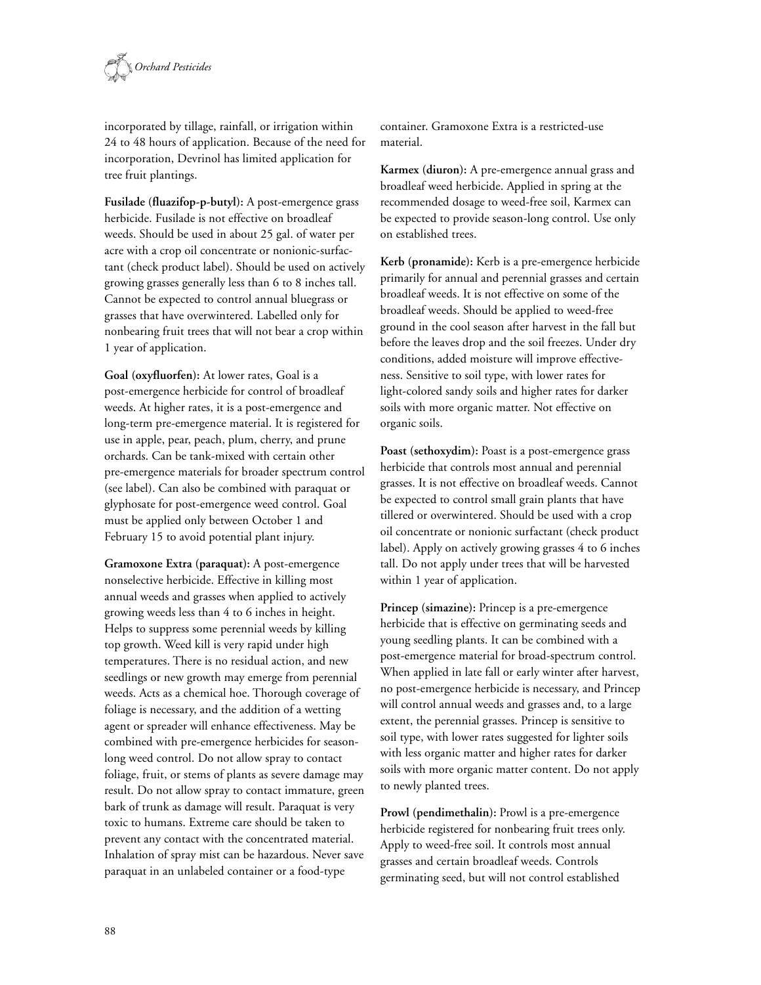

incorporated by tillage, rainfall, or irrigation within 24 to 48 hours of application. Because of the need for incorporation, Devrinol has limited application for tree fruit plantings.

**Fusilade (fluazifop-p-butyl):** A post-emergence grass herbicide. Fusilade is not effective on broadleaf weeds. Should be used in about 25 gal. of water per acre with a crop oil concentrate or nonionic-surfactant (check product label). Should be used on actively growing grasses generally less than 6 to 8 inches tall. Cannot be expected to control annual bluegrass or grasses that have overwintered. Labelled only for nonbearing fruit trees that will not bear a crop within 1 year of application.

**Goal (oxyfluorfen):** At lower rates, Goal is a post-emergence herbicide for control of broadleaf weeds. At higher rates, it is a post-emergence and long-term pre-emergence material. It is registered for use in apple, pear, peach, plum, cherry, and prune orchards. Can be tank-mixed with certain other pre-emergence materials for broader spectrum control (see label). Can also be combined with paraquat or glyphosate for post-emergence weed control. Goal must be applied only between October 1 and February 15 to avoid potential plant injury.

**Gramoxone Extra (paraquat):** A post-emergence nonselective herbicide. Effective in killing most annual weeds and grasses when applied to actively growing weeds less than 4 to 6 inches in height. Helps to suppress some perennial weeds by killing top growth. Weed kill is very rapid under high temperatures. There is no residual action, and new seedlings or new growth may emerge from perennial weeds. Acts as a chemical hoe. Thorough coverage of foliage is necessary, and the addition of a wetting agent or spreader will enhance effectiveness. May be combined with pre-emergence herbicides for seasonlong weed control. Do not allow spray to contact foliage, fruit, or stems of plants as severe damage may result. Do not allow spray to contact immature, green bark of trunk as damage will result. Paraquat is very toxic to humans. Extreme care should be taken to prevent any contact with the concentrated material. Inhalation of spray mist can be hazardous. Never save paraquat in an unlabeled container or a food-type

container. Gramoxone Extra is a restricted-use material.

**Karmex (diuron):** A pre-emergence annual grass and broadleaf weed herbicide. Applied in spring at the recommended dosage to weed-free soil, Karmex can be expected to provide season-long control. Use only on established trees.

**Kerb (pronamide):** Kerb is a pre-emergence herbicide primarily for annual and perennial grasses and certain broadleaf weeds. It is not effective on some of the broadleaf weeds. Should be applied to weed-free ground in the cool season after harvest in the fall but before the leaves drop and the soil freezes. Under dry conditions, added moisture will improve effectiveness. Sensitive to soil type, with lower rates for light-colored sandy soils and higher rates for darker soils with more organic matter. Not effective on organic soils.

**Poast (sethoxydim):** Poast is a post-emergence grass herbicide that controls most annual and perennial grasses. It is not effective on broadleaf weeds. Cannot be expected to control small grain plants that have tillered or overwintered. Should be used with a crop oil concentrate or nonionic surfactant (check product label). Apply on actively growing grasses 4 to 6 inches tall. Do not apply under trees that will be harvested within 1 year of application.

**Princep (simazine):** Princep is a pre-emergence herbicide that is effective on germinating seeds and young seedling plants. It can be combined with a post-emergence material for broad-spectrum control. When applied in late fall or early winter after harvest, no post-emergence herbicide is necessary, and Princep will control annual weeds and grasses and, to a large extent, the perennial grasses. Princep is sensitive to soil type, with lower rates suggested for lighter soils with less organic matter and higher rates for darker soils with more organic matter content. Do not apply to newly planted trees.

**Prowl (pendimethalin):** Prowl is a pre-emergence herbicide registered for nonbearing fruit trees only. Apply to weed-free soil. It controls most annual grasses and certain broadleaf weeds. Controls germinating seed, but will not control established